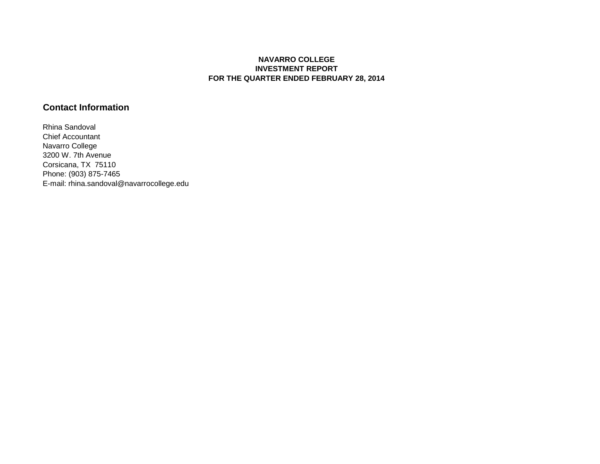## **NAVARRO COLLEGE INVESTMENT REPORT FOR THE QUARTER ENDED FEBRUARY 28, 2014**

## **Contact Information**

Rhina Sandoval Chief Accountant Navarro College 3200 W. 7th Avenue Corsicana, TX 75110 Phone: (903) 875-7465 E-mail: rhina.sandoval@navarrocollege.edu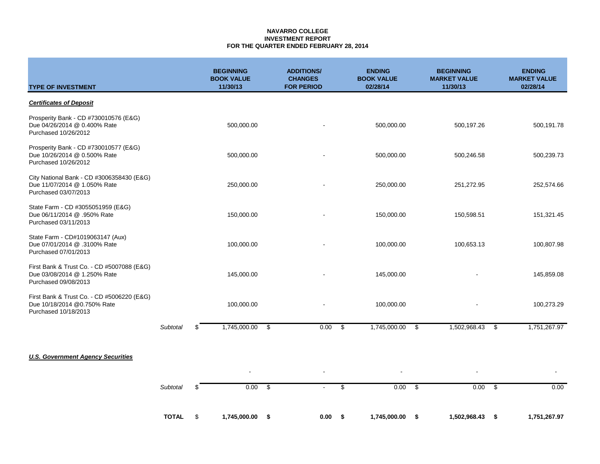### **NAVARRO COLLEGE INVESTMENT REPORT FOR THE QUARTER ENDED FEBRUARY 28, 2014**

| <b>TYPE OF INVESTMENT</b>                                                                          |                 | <b>BEGINNING</b><br><b>BOOK VALUE</b><br>11/30/13 | <b>ADDITIONS/</b><br><b>CHANGES</b><br><b>FOR PERIOD</b> |     | <b>ENDING</b><br><b>BOOK VALUE</b><br>02/28/14 | <b>BEGINNING</b><br><b>MARKET VALUE</b><br>11/30/13 |                          | <b>ENDING</b><br><b>MARKET VALUE</b><br>02/28/14 |
|----------------------------------------------------------------------------------------------------|-----------------|---------------------------------------------------|----------------------------------------------------------|-----|------------------------------------------------|-----------------------------------------------------|--------------------------|--------------------------------------------------|
| <b>Certificates of Deposit</b>                                                                     |                 |                                                   |                                                          |     |                                                |                                                     |                          |                                                  |
| Prosperity Bank - CD #730010576 (E&G)<br>Due 04/26/2014 @ 0.400% Rate<br>Purchased 10/26/2012      |                 | 500,000.00                                        |                                                          |     | 500,000.00                                     | 500,197.26                                          |                          | 500,191.78                                       |
| Prosperity Bank - CD #730010577 (E&G)<br>Due 10/26/2014 @ 0.500% Rate<br>Purchased 10/26/2012      |                 | 500,000.00                                        |                                                          |     | 500,000.00                                     | 500,246.58                                          |                          | 500,239.73                                       |
| City National Bank - CD #3006358430 (E&G)<br>Due 11/07/2014 @ 1.050% Rate<br>Purchased 03/07/2013  |                 | 250,000.00                                        |                                                          |     | 250,000.00                                     | 251,272.95                                          |                          | 252,574.66                                       |
| State Farm - CD #3055051959 (E&G)<br>Due 06/11/2014 @ .950% Rate<br>Purchased 03/11/2013           |                 | 150,000.00                                        |                                                          |     | 150,000.00                                     | 150,598.51                                          |                          | 151,321.45                                       |
| State Farm - CD#1019063147 (Aux)<br>Due 07/01/2014 @ .3100% Rate<br>Purchased 07/01/2013           |                 | 100,000.00                                        |                                                          |     | 100,000.00                                     | 100,653.13                                          |                          | 100,807.98                                       |
| First Bank & Trust Co. - CD #5007088 (E&G)<br>Due 03/08/2014 @ 1.250% Rate<br>Purchased 09/08/2013 |                 | 145,000.00                                        |                                                          |     | 145,000.00                                     |                                                     |                          | 145,859.08                                       |
| First Bank & Trust Co. - CD #5006220 (E&G)<br>Due 10/18/2014 @0.750% Rate<br>Purchased 10/18/2013  |                 | 100,000.00                                        |                                                          |     | 100,000.00                                     |                                                     |                          | 100,273.29                                       |
|                                                                                                    | <b>Subtotal</b> | 1,745,000.00<br>\$                                | \$<br>0.00                                               | \$  | 1,745,000.00                                   | 1,502,968.43<br>\$                                  |                          | 1,751,267.97<br>\$                               |
|                                                                                                    |                 |                                                   |                                                          |     |                                                |                                                     |                          |                                                  |
| <b>U.S. Government Agency Securities</b>                                                           |                 |                                                   |                                                          |     |                                                |                                                     | $\overline{\phantom{a}}$ |                                                  |
|                                                                                                    | Subtotal        | 0.00<br>\$                                        | \$                                                       | \$  | 0.00                                           | \$                                                  | 0.00                     | 0.00<br>-\$                                      |
|                                                                                                    | <b>TOTAL</b>    | \$<br>1,745,000.00                                | \$<br>0.00                                               | -\$ | 1,745,000.00                                   | \$<br>1,502,968.43                                  |                          | \$<br>1,751,267.97                               |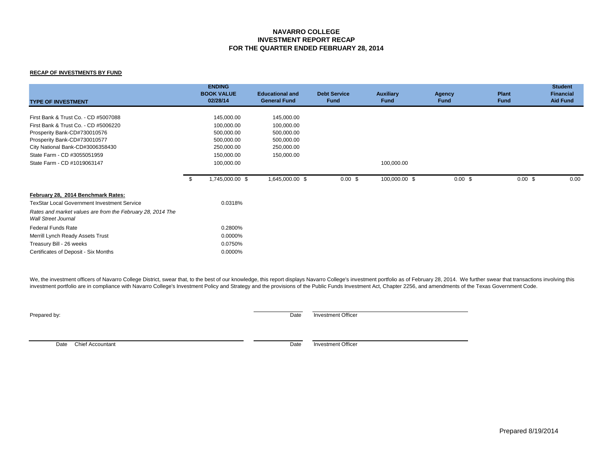### **NAVARRO COLLEGE INVESTMENT REPORT RECAP FOR THE QUARTER ENDED FEBRUARY 28, 2014**

#### **RECAP OF INVESTMENTS BY FUND**

| <b>TYPE OF INVESTMENT</b>                                                                                                                                                                                                                      |      | <b>ENDING</b><br><b>BOOK VALUE</b><br>02/28/14                                                 | <b>Educational and</b><br><b>General Fund</b>                                    | <b>Debt Service</b><br><b>Fund</b> | <b>Auxiliary</b><br><b>Fund</b> | <b>Agency</b><br><b>Fund</b> | <b>Plant</b><br><b>Fund</b> | <b>Student</b><br><b>Financial</b><br><b>Aid Fund</b> |
|------------------------------------------------------------------------------------------------------------------------------------------------------------------------------------------------------------------------------------------------|------|------------------------------------------------------------------------------------------------|----------------------------------------------------------------------------------|------------------------------------|---------------------------------|------------------------------|-----------------------------|-------------------------------------------------------|
| First Bank & Trust Co. - CD #5007088<br>First Bank & Trust Co. - CD #5006220<br>Prosperity Bank-CD#730010576<br>Prosperity Bank-CD#730010577<br>City National Bank-CD#3006358430<br>State Farm - CD #3055051959<br>State Farm - CD #1019063147 |      | 145,000.00<br>100,000.00<br>500,000.00<br>500,000.00<br>250,000.00<br>150,000.00<br>100,000.00 | 145,000.00<br>100,000.00<br>500,000.00<br>500,000.00<br>250,000.00<br>150,000.00 |                                    | 100,000.00                      |                              |                             |                                                       |
|                                                                                                                                                                                                                                                | - \$ | 1,745,000.00 \$                                                                                | 1,645,000.00 \$                                                                  | $0.00 \text{ }$ \$                 | 100,000.00 \$                   | 0.00~\$                      | $0.00$ \$                   | 0.00                                                  |
| February 28, 2014 Benchmark Rates:<br><b>TexStar Local Government Investment Service</b><br>Rates and market values are from the February 28, 2014 The<br><b>Wall Street Journal</b>                                                           |      | 0.0318%                                                                                        |                                                                                  |                                    |                                 |                              |                             |                                                       |
| <b>Federal Funds Rate</b><br>Merrill Lynch Ready Assets Trust<br>Treasury Bill - 26 weeks<br>Certificates of Deposit - Six Months                                                                                                              |      | 0.2800%<br>0.0000%<br>0.0750%<br>0.0000%                                                       |                                                                                  |                                    |                                 |                              |                             |                                                       |

We, the investment officers of Navarro College District, swear that, to the best of our knowledge, this report displays Navarro College's investment portfolio as of February 28, 2014. We further swear that transactions inv investment portfolio are in compliance with Navarro College's Investment Policy and Strategy and the provisions of the Public Funds Investment Act, Chapter 2256, and amendments of the Texas Government Code.

**Prepared by:** Date Investment Officer

Date Chief Accountant **Date** Investment Officer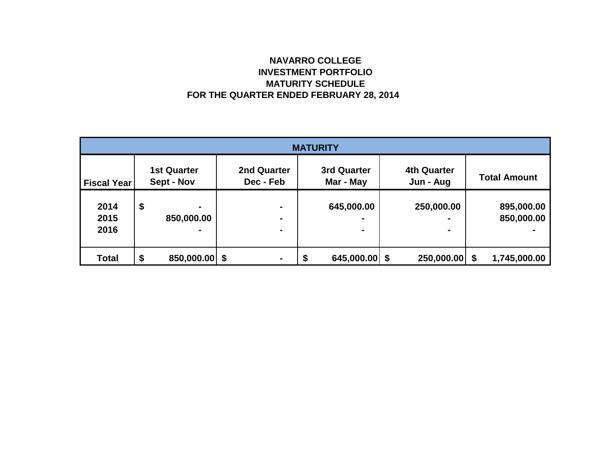# **NAVARRO COLLEGE INVESTMENT PORTFOLIO MATURITY SCHEDULE FOR THE QUARTER ENDED FEBRUARY 28, 2014**

| <b>MATURITY</b>      |    |                                  |                                       |    |                              |  |                                 |  |                          |  |
|----------------------|----|----------------------------------|---------------------------------------|----|------------------------------|--|---------------------------------|--|--------------------------|--|
| <b>Fiscal Year</b>   |    | <b>1st Quarter</b><br>Sept - Nov | 2nd Quarter<br>Dec - Feb              |    | 3rd Quarter<br>Mar - May     |  | <b>4th Quarter</b><br>Jun - Aug |  | <b>Total Amount</b>      |  |
| 2014<br>2015<br>2016 | \$ | ٠<br>850,000.00<br>٠             | -<br>$\blacksquare$<br>$\blacksquare$ |    | 645,000.00<br>$\blacksquare$ |  | 250,000.00<br>$\blacksquare$    |  | 895,000.00<br>850,000.00 |  |
| <b>Total</b>         | \$ | 850,000.00 \$                    |                                       | \$ | 645,000.00                   |  | 250,000.00 \$                   |  | 1,745,000.00             |  |